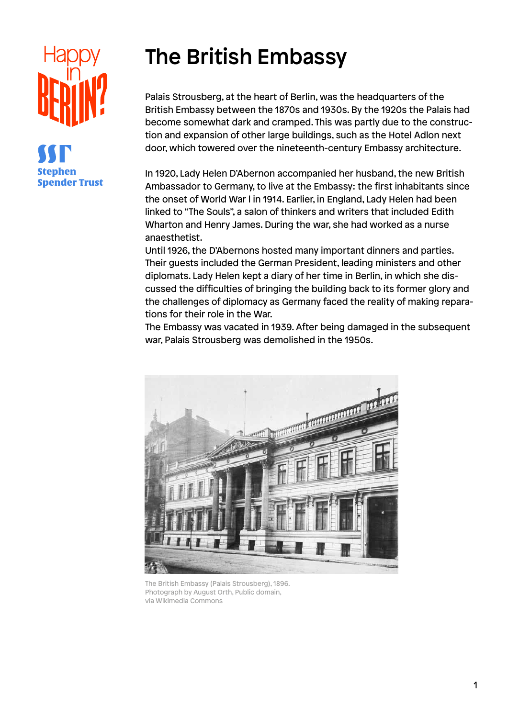

## The British Embassy

Palais Strousberg, at the heart of Berlin, was the headquarters of the British Embassy between the 1870s and 1930s. By the 1920s the Palais had become somewhat dark and cramped. This was partly due to the construction and expansion of other large buildings, such as the Hotel Adlon next door, which towered over the nineteenth-century Embassy architecture.

In 1920, Lady Helen D'Abernon accompanied her husband, the new British Ambassador to Germany, to live at the Embassy: the first inhabitants since the onset of World War l in 1914. Earlier, in England, Lady Helen had been linked to "The Souls", a salon of thinkers and writers that included Edith Wharton and Henry James. During the war, she had worked as a nurse anaesthetist.

Until 1926, the D'Abernons hosted many important dinners and parties. Their guests included the German President, leading ministers and other diplomats. Lady Helen kept a diary of her time in Berlin, in which she discussed the difficulties of bringing the building back to its former glory and the challenges of diplomacy as Germany faced the reality of making reparations for their role in the War.

The Embassy was vacated in 1939. After being damaged in the subsequent war, Palais Strousberg was demolished in the 1950s.



The British Embassy (Palais Strousberg), 1896. Photograph by August Orth, Public domain, via Wikimedia Commons